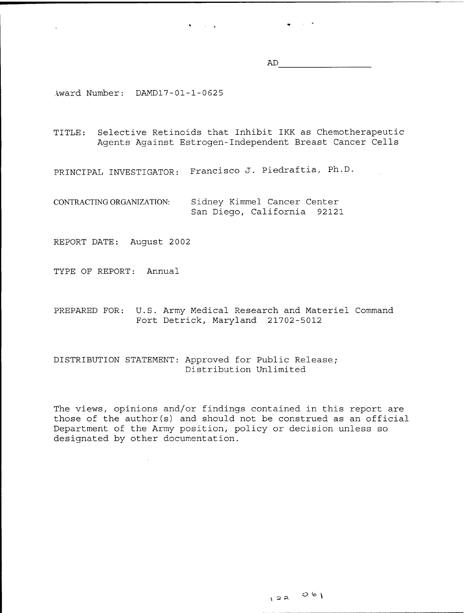AD

 $\frac{1}{2}$  ,  $\frac{1}{2}$  ,  $\frac{1}{2}$  ,  $\frac{1}{2}$  ,  $\frac{1}{2}$ 

Award Number: DAMD17-01-1-0625

TITLE: Selective Retinoids that Inhibit IKK as Chemotherapeutic Agents Against Estrogen-Independent Breast Cancer Cells

PRINCIPAL INVESTIGATOR: Francisco J. Piedraftia, Ph.D.

 $\bullet$  . The second second  $\bullet$ 

CONTRACTING ORGANIZATION: Sidney Kimmel Cancer Center San Diego, California 92121

REPORT DATE: August 2002

TYPE OF REPORT: Annual

PREPARED FOR: U.S. Army Medical Research and Materiel Command Fort Detrick, Maryland 21702-5012

# DISTRIBUTION STATEMENT: Approved for Public Release; Distribution Unlimited

The views, opinions and/or findings contained in this report are those of the author(s) and should not be construed as an official Department of the Army position, policy or decision unless so designated by other documentation.

 $22000$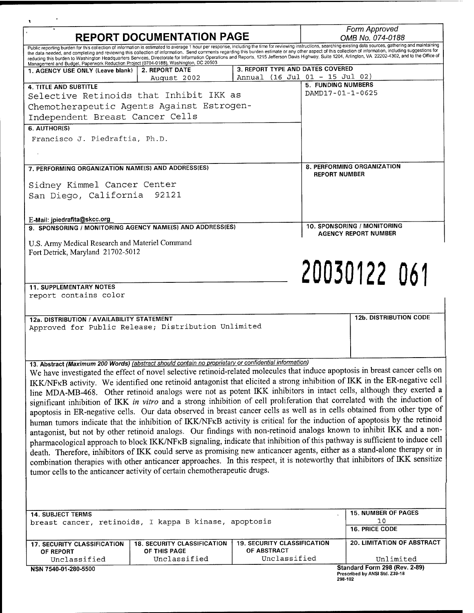| <b>REPORT DOCUMENTATION PAGE</b>                                                                                                                                                                                                                                                                                                                                                                                                                                                                                                                                                                                                                                                                                                                                                                                                                                                                                                                                                                                                                                                                                                                                                                                                                                                                                                                                                                                                                                                                                                                                                                                                                                           |                                    |                                    |                      | Form Approved<br>OMB No. 074-0188                           |           |  |
|----------------------------------------------------------------------------------------------------------------------------------------------------------------------------------------------------------------------------------------------------------------------------------------------------------------------------------------------------------------------------------------------------------------------------------------------------------------------------------------------------------------------------------------------------------------------------------------------------------------------------------------------------------------------------------------------------------------------------------------------------------------------------------------------------------------------------------------------------------------------------------------------------------------------------------------------------------------------------------------------------------------------------------------------------------------------------------------------------------------------------------------------------------------------------------------------------------------------------------------------------------------------------------------------------------------------------------------------------------------------------------------------------------------------------------------------------------------------------------------------------------------------------------------------------------------------------------------------------------------------------------------------------------------------------|------------------------------------|------------------------------------|----------------------|-------------------------------------------------------------|-----------|--|
| Public reporting burden for this collection of information is estimated to average 1 hour per response, including the time for reviewing instructions, searching existing data sources, gathering and maintaining<br>the data needed, and completing and reviewing this collection of information. Send comments regarding this burden estimate or any other aspect of this collection of information, including suggestions for<br>reducing this burden to Washington Headquarters Services, Directorate for Information Operations and Reports, 1215 Jefferson Davis Highway, Suite 1204, Arlington, VA 22202-4302, and to the Office of                                                                                                                                                                                                                                                                                                                                                                                                                                                                                                                                                                                                                                                                                                                                                                                                                                                                                                                                                                                                                                 |                                    |                                    |                      |                                                             |           |  |
| Management and Budget, Paperwork Reduction Project (0704-0188), Washington, DC 20503<br>1. AGENCY USE ONLY (Leave blank)                                                                                                                                                                                                                                                                                                                                                                                                                                                                                                                                                                                                                                                                                                                                                                                                                                                                                                                                                                                                                                                                                                                                                                                                                                                                                                                                                                                                                                                                                                                                                   | 2. REPORT DATE                     | 3. REPORT TYPE AND DATES COVERED   |                      |                                                             |           |  |
|                                                                                                                                                                                                                                                                                                                                                                                                                                                                                                                                                                                                                                                                                                                                                                                                                                                                                                                                                                                                                                                                                                                                                                                                                                                                                                                                                                                                                                                                                                                                                                                                                                                                            | August 2002                        |                                    |                      | Annual (16 Jul 01 - 15 Jul 02)<br><b>5. FUNDING NUMBERS</b> |           |  |
| <b>4. TITLE AND SUBTITLE</b>                                                                                                                                                                                                                                                                                                                                                                                                                                                                                                                                                                                                                                                                                                                                                                                                                                                                                                                                                                                                                                                                                                                                                                                                                                                                                                                                                                                                                                                                                                                                                                                                                                               |                                    |                                    | DAMD17-01-1-0625     |                                                             |           |  |
| Selective Retinoids that Inhibit IKK as                                                                                                                                                                                                                                                                                                                                                                                                                                                                                                                                                                                                                                                                                                                                                                                                                                                                                                                                                                                                                                                                                                                                                                                                                                                                                                                                                                                                                                                                                                                                                                                                                                    |                                    |                                    |                      |                                                             |           |  |
| Chemotherapeutic Agents Against Estrogen-                                                                                                                                                                                                                                                                                                                                                                                                                                                                                                                                                                                                                                                                                                                                                                                                                                                                                                                                                                                                                                                                                                                                                                                                                                                                                                                                                                                                                                                                                                                                                                                                                                  |                                    |                                    |                      |                                                             |           |  |
| Independent Breast Cancer Cells                                                                                                                                                                                                                                                                                                                                                                                                                                                                                                                                                                                                                                                                                                                                                                                                                                                                                                                                                                                                                                                                                                                                                                                                                                                                                                                                                                                                                                                                                                                                                                                                                                            |                                    |                                    |                      |                                                             |           |  |
| 6. AUTHOR(S)                                                                                                                                                                                                                                                                                                                                                                                                                                                                                                                                                                                                                                                                                                                                                                                                                                                                                                                                                                                                                                                                                                                                                                                                                                                                                                                                                                                                                                                                                                                                                                                                                                                               |                                    |                                    |                      |                                                             |           |  |
| Francisco J. Piedraftia, Ph.D.                                                                                                                                                                                                                                                                                                                                                                                                                                                                                                                                                                                                                                                                                                                                                                                                                                                                                                                                                                                                                                                                                                                                                                                                                                                                                                                                                                                                                                                                                                                                                                                                                                             |                                    |                                    |                      |                                                             |           |  |
|                                                                                                                                                                                                                                                                                                                                                                                                                                                                                                                                                                                                                                                                                                                                                                                                                                                                                                                                                                                                                                                                                                                                                                                                                                                                                                                                                                                                                                                                                                                                                                                                                                                                            |                                    |                                    |                      |                                                             |           |  |
| 7. PERFORMING ORGANIZATION NAME(S) AND ADDRESS(ES)                                                                                                                                                                                                                                                                                                                                                                                                                                                                                                                                                                                                                                                                                                                                                                                                                                                                                                                                                                                                                                                                                                                                                                                                                                                                                                                                                                                                                                                                                                                                                                                                                         |                                    |                                    |                      | 8. PERFORMING ORGANIZATION                                  |           |  |
|                                                                                                                                                                                                                                                                                                                                                                                                                                                                                                                                                                                                                                                                                                                                                                                                                                                                                                                                                                                                                                                                                                                                                                                                                                                                                                                                                                                                                                                                                                                                                                                                                                                                            |                                    |                                    | <b>REPORT NUMBER</b> |                                                             |           |  |
| Sidney Kimmel Cancer Center                                                                                                                                                                                                                                                                                                                                                                                                                                                                                                                                                                                                                                                                                                                                                                                                                                                                                                                                                                                                                                                                                                                                                                                                                                                                                                                                                                                                                                                                                                                                                                                                                                                |                                    |                                    |                      |                                                             |           |  |
| San Diego, California 92121                                                                                                                                                                                                                                                                                                                                                                                                                                                                                                                                                                                                                                                                                                                                                                                                                                                                                                                                                                                                                                                                                                                                                                                                                                                                                                                                                                                                                                                                                                                                                                                                                                                |                                    |                                    |                      |                                                             |           |  |
|                                                                                                                                                                                                                                                                                                                                                                                                                                                                                                                                                                                                                                                                                                                                                                                                                                                                                                                                                                                                                                                                                                                                                                                                                                                                                                                                                                                                                                                                                                                                                                                                                                                                            |                                    |                                    |                      |                                                             |           |  |
| E-Mail: jpiedrafita@skcc.org                                                                                                                                                                                                                                                                                                                                                                                                                                                                                                                                                                                                                                                                                                                                                                                                                                                                                                                                                                                                                                                                                                                                                                                                                                                                                                                                                                                                                                                                                                                                                                                                                                               |                                    |                                    |                      |                                                             |           |  |
| 9. SPONSORING / MONITORING AGENCY NAME(S) AND ADDRESS(ES)                                                                                                                                                                                                                                                                                                                                                                                                                                                                                                                                                                                                                                                                                                                                                                                                                                                                                                                                                                                                                                                                                                                                                                                                                                                                                                                                                                                                                                                                                                                                                                                                                  |                                    |                                    |                      | 10. SPONSORING / MONITORING<br><b>AGENCY REPORT NUMBER</b>  |           |  |
| U.S. Army Medical Research and Materiel Command                                                                                                                                                                                                                                                                                                                                                                                                                                                                                                                                                                                                                                                                                                                                                                                                                                                                                                                                                                                                                                                                                                                                                                                                                                                                                                                                                                                                                                                                                                                                                                                                                            |                                    |                                    |                      |                                                             |           |  |
| Fort Detrick, Maryland 21702-5012                                                                                                                                                                                                                                                                                                                                                                                                                                                                                                                                                                                                                                                                                                                                                                                                                                                                                                                                                                                                                                                                                                                                                                                                                                                                                                                                                                                                                                                                                                                                                                                                                                          |                                    |                                    |                      |                                                             |           |  |
|                                                                                                                                                                                                                                                                                                                                                                                                                                                                                                                                                                                                                                                                                                                                                                                                                                                                                                                                                                                                                                                                                                                                                                                                                                                                                                                                                                                                                                                                                                                                                                                                                                                                            |                                    |                                    |                      |                                                             |           |  |
|                                                                                                                                                                                                                                                                                                                                                                                                                                                                                                                                                                                                                                                                                                                                                                                                                                                                                                                                                                                                                                                                                                                                                                                                                                                                                                                                                                                                                                                                                                                                                                                                                                                                            |                                    |                                    |                      |                                                             |           |  |
|                                                                                                                                                                                                                                                                                                                                                                                                                                                                                                                                                                                                                                                                                                                                                                                                                                                                                                                                                                                                                                                                                                                                                                                                                                                                                                                                                                                                                                                                                                                                                                                                                                                                            |                                    |                                    |                      |                                                             |           |  |
|                                                                                                                                                                                                                                                                                                                                                                                                                                                                                                                                                                                                                                                                                                                                                                                                                                                                                                                                                                                                                                                                                                                                                                                                                                                                                                                                                                                                                                                                                                                                                                                                                                                                            |                                    |                                    |                      | 20030122 061                                                |           |  |
| <b>11. SUPPLEMENTARY NOTES</b>                                                                                                                                                                                                                                                                                                                                                                                                                                                                                                                                                                                                                                                                                                                                                                                                                                                                                                                                                                                                                                                                                                                                                                                                                                                                                                                                                                                                                                                                                                                                                                                                                                             |                                    |                                    |                      |                                                             |           |  |
| report contains color                                                                                                                                                                                                                                                                                                                                                                                                                                                                                                                                                                                                                                                                                                                                                                                                                                                                                                                                                                                                                                                                                                                                                                                                                                                                                                                                                                                                                                                                                                                                                                                                                                                      |                                    |                                    |                      |                                                             |           |  |
|                                                                                                                                                                                                                                                                                                                                                                                                                                                                                                                                                                                                                                                                                                                                                                                                                                                                                                                                                                                                                                                                                                                                                                                                                                                                                                                                                                                                                                                                                                                                                                                                                                                                            |                                    |                                    |                      |                                                             |           |  |
|                                                                                                                                                                                                                                                                                                                                                                                                                                                                                                                                                                                                                                                                                                                                                                                                                                                                                                                                                                                                                                                                                                                                                                                                                                                                                                                                                                                                                                                                                                                                                                                                                                                                            |                                    |                                    |                      | <b>12b. DISTRIBUTION CODE</b>                               |           |  |
|                                                                                                                                                                                                                                                                                                                                                                                                                                                                                                                                                                                                                                                                                                                                                                                                                                                                                                                                                                                                                                                                                                                                                                                                                                                                                                                                                                                                                                                                                                                                                                                                                                                                            |                                    |                                    |                      |                                                             |           |  |
|                                                                                                                                                                                                                                                                                                                                                                                                                                                                                                                                                                                                                                                                                                                                                                                                                                                                                                                                                                                                                                                                                                                                                                                                                                                                                                                                                                                                                                                                                                                                                                                                                                                                            |                                    |                                    |                      |                                                             |           |  |
|                                                                                                                                                                                                                                                                                                                                                                                                                                                                                                                                                                                                                                                                                                                                                                                                                                                                                                                                                                                                                                                                                                                                                                                                                                                                                                                                                                                                                                                                                                                                                                                                                                                                            |                                    |                                    |                      |                                                             |           |  |
|                                                                                                                                                                                                                                                                                                                                                                                                                                                                                                                                                                                                                                                                                                                                                                                                                                                                                                                                                                                                                                                                                                                                                                                                                                                                                                                                                                                                                                                                                                                                                                                                                                                                            |                                    |                                    |                      |                                                             |           |  |
|                                                                                                                                                                                                                                                                                                                                                                                                                                                                                                                                                                                                                                                                                                                                                                                                                                                                                                                                                                                                                                                                                                                                                                                                                                                                                                                                                                                                                                                                                                                                                                                                                                                                            |                                    |                                    |                      |                                                             |           |  |
|                                                                                                                                                                                                                                                                                                                                                                                                                                                                                                                                                                                                                                                                                                                                                                                                                                                                                                                                                                                                                                                                                                                                                                                                                                                                                                                                                                                                                                                                                                                                                                                                                                                                            |                                    |                                    |                      |                                                             |           |  |
|                                                                                                                                                                                                                                                                                                                                                                                                                                                                                                                                                                                                                                                                                                                                                                                                                                                                                                                                                                                                                                                                                                                                                                                                                                                                                                                                                                                                                                                                                                                                                                                                                                                                            |                                    |                                    |                      |                                                             |           |  |
|                                                                                                                                                                                                                                                                                                                                                                                                                                                                                                                                                                                                                                                                                                                                                                                                                                                                                                                                                                                                                                                                                                                                                                                                                                                                                                                                                                                                                                                                                                                                                                                                                                                                            |                                    |                                    |                      |                                                             |           |  |
|                                                                                                                                                                                                                                                                                                                                                                                                                                                                                                                                                                                                                                                                                                                                                                                                                                                                                                                                                                                                                                                                                                                                                                                                                                                                                                                                                                                                                                                                                                                                                                                                                                                                            |                                    |                                    |                      |                                                             |           |  |
|                                                                                                                                                                                                                                                                                                                                                                                                                                                                                                                                                                                                                                                                                                                                                                                                                                                                                                                                                                                                                                                                                                                                                                                                                                                                                                                                                                                                                                                                                                                                                                                                                                                                            |                                    |                                    |                      |                                                             |           |  |
|                                                                                                                                                                                                                                                                                                                                                                                                                                                                                                                                                                                                                                                                                                                                                                                                                                                                                                                                                                                                                                                                                                                                                                                                                                                                                                                                                                                                                                                                                                                                                                                                                                                                            |                                    |                                    |                      |                                                             |           |  |
|                                                                                                                                                                                                                                                                                                                                                                                                                                                                                                                                                                                                                                                                                                                                                                                                                                                                                                                                                                                                                                                                                                                                                                                                                                                                                                                                                                                                                                                                                                                                                                                                                                                                            |                                    |                                    |                      |                                                             |           |  |
|                                                                                                                                                                                                                                                                                                                                                                                                                                                                                                                                                                                                                                                                                                                                                                                                                                                                                                                                                                                                                                                                                                                                                                                                                                                                                                                                                                                                                                                                                                                                                                                                                                                                            |                                    |                                    |                      |                                                             |           |  |
|                                                                                                                                                                                                                                                                                                                                                                                                                                                                                                                                                                                                                                                                                                                                                                                                                                                                                                                                                                                                                                                                                                                                                                                                                                                                                                                                                                                                                                                                                                                                                                                                                                                                            |                                    |                                    |                      |                                                             |           |  |
|                                                                                                                                                                                                                                                                                                                                                                                                                                                                                                                                                                                                                                                                                                                                                                                                                                                                                                                                                                                                                                                                                                                                                                                                                                                                                                                                                                                                                                                                                                                                                                                                                                                                            |                                    |                                    |                      |                                                             |           |  |
|                                                                                                                                                                                                                                                                                                                                                                                                                                                                                                                                                                                                                                                                                                                                                                                                                                                                                                                                                                                                                                                                                                                                                                                                                                                                                                                                                                                                                                                                                                                                                                                                                                                                            |                                    |                                    |                      |                                                             |           |  |
|                                                                                                                                                                                                                                                                                                                                                                                                                                                                                                                                                                                                                                                                                                                                                                                                                                                                                                                                                                                                                                                                                                                                                                                                                                                                                                                                                                                                                                                                                                                                                                                                                                                                            |                                    |                                    |                      |                                                             |           |  |
|                                                                                                                                                                                                                                                                                                                                                                                                                                                                                                                                                                                                                                                                                                                                                                                                                                                                                                                                                                                                                                                                                                                                                                                                                                                                                                                                                                                                                                                                                                                                                                                                                                                                            |                                    |                                    |                      | <b>15. NUMBER OF PAGES</b>                                  |           |  |
|                                                                                                                                                                                                                                                                                                                                                                                                                                                                                                                                                                                                                                                                                                                                                                                                                                                                                                                                                                                                                                                                                                                                                                                                                                                                                                                                                                                                                                                                                                                                                                                                                                                                            |                                    |                                    |                      | 10                                                          |           |  |
| 12a. DISTRIBUTION / AVAILABILITY STATEMENT<br>Approved for Public Release; Distribution Unlimited<br>13. Abstract (Maximum 200 Words) (abstract should contain no proprietary or confidential information)<br>We have investigated the effect of novel selective retinoid-related molecules that induce apoptosis in breast cancer cells on<br>IKK/NFKB activity. We identified one retinoid antagonist that elicited a strong inhibition of IKK in the ER-negative cell<br>line MDA-MB-468. Other retinoid analogs were not as potent IKK inhibitors in intact cells, although they exerted a<br>significant inhibition of IKK in vitro and a strong inhibition of cell proliferation that correlated with the induction of<br>apoptosis in ER-negative cells. Our data observed in breast cancer cells as well as in cells obtained from other type of<br>human tumors indicate that the inhibition of IKK/NFKB activity is critical for the induction of apoptosis by the retinoid<br>antagonist, but not by other retinoid analogs. Our findings with non-retinoid analogs known to inhibit IKK and a non-<br>pharmacological approach to block IKK/NFKB signaling, indicate that inhibition of this pathway is sufficient to induce cell<br>death. Therefore, inhibitors of IKK could serve as promising new anticancer agents, either as a stand-alone therapy or in<br>combination therapies with other anticancer approaches. In this respect, it is noteworthy that inhibitors of IKK sensitize<br>tumor cells to the anticancer activity of certain chemotherapeutic drugs.<br><b>14. SUBJECT TERMS</b><br>breast cancer, retinoids, I kappa B kinase, apoptosis |                                    |                                    |                      | <b>16. PRICE CODE</b>                                       |           |  |
|                                                                                                                                                                                                                                                                                                                                                                                                                                                                                                                                                                                                                                                                                                                                                                                                                                                                                                                                                                                                                                                                                                                                                                                                                                                                                                                                                                                                                                                                                                                                                                                                                                                                            | <b>18. SECURITY CLASSIFICATION</b> | <b>19. SECURITY CLASSIFICATION</b> |                      | <b>20. LIMITATION OF ABSTRACT</b>                           |           |  |
| <b>17. SECURITY CLASSIFICATION</b><br>OF REPORT<br>Unclassified                                                                                                                                                                                                                                                                                                                                                                                                                                                                                                                                                                                                                                                                                                                                                                                                                                                                                                                                                                                                                                                                                                                                                                                                                                                                                                                                                                                                                                                                                                                                                                                                            | OF THIS PAGE<br>Unclassified       | OF ABSTRACT<br>Unclassified        |                      |                                                             | Unlimited |  |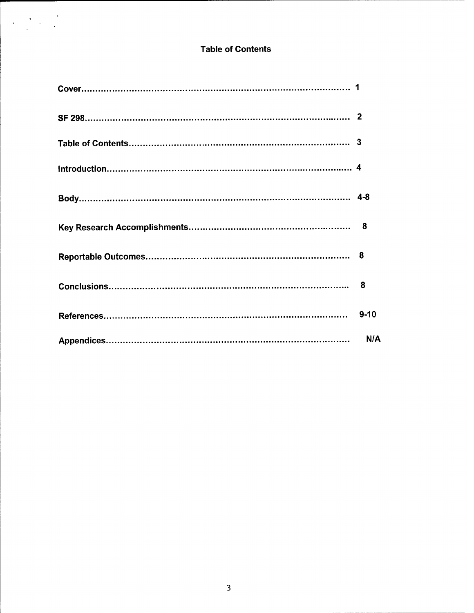# **Table of Contents**

 $\label{eq:2} \begin{split} \mathcal{L}_{\text{max}}(\mathbf{x}) = \frac{1}{\sqrt{2\pi}}\mathbf{1}_{\text{max}}(\mathbf{x})\\ = \frac{1}{\sqrt{2\pi}}\mathbf{1}_{\text{max}}(\mathbf{x}) + \frac{1}{\sqrt{2\pi}}\mathbf{1}_{\text{max}}(\mathbf{x})\\ = \frac{1}{\sqrt{2\pi}}\mathbf{1}_{\text{max}}(\mathbf{x}) + \frac{1}{\sqrt{2\pi}}\mathbf{1}_{\text{max}}(\mathbf{x})\\ = \frac{1}{\sqrt{2\pi}}\mathbf{1}_{\text{max}}(\mathbf{x}) + \frac{1}{\sqrt{2\pi}}\math$ 

| $9 - 10$ |
|----------|
| N/A      |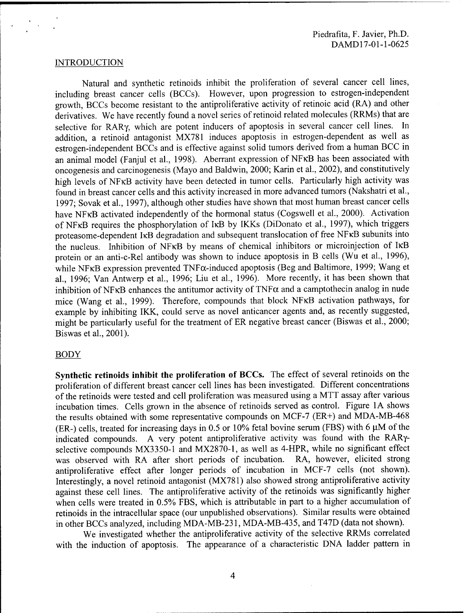#### INTRODUCTION

Natural and synthetic retinoids inhibit the proliferation of several cancer cell lines, including breast cancer cells (BCCs). However, upon progression to estrogen-independent growth, BCCs become resistant to the antiproliferative activity of retinoic acid (RA) and other derivatives. We have recently found a novel series of retinoid related molecules (RRMs) that are selective for RARy, which are potent inducers of apoptosis in several cancer cell lines. In addition, a retinoid antagonist MX781 induces apoptosis in estrogen-dependent as well as estrogen-independent BCCs and is effective against solid tumors derived from a human BCC in an animal model (Fanjul et al., 1998). Aberrant expression of NFKB has been associated with oncogenesis and carcinogenesis (Mayo and Baldwin, 2000; Karin et al., 2002), and constitutively high levels of NFKB activity have been detected in tumor cells. Particularly high activity was found in breast cancer cells and this activity increased in more advanced tumors (Nakshatri et al., 1997; Sovak et al, 1997), although other studies have shown that most human breast cancer cells have NFKB activated independently of the hormonal status (Cogswell et al., 2000). Activation of NFKB requires the phosphorylation of IKB by IKKs (DiDonato et al., 1997), which triggers proteasome-dependent IKB degradation and subsequent translocation of free NFKB subunits into the nucleus. Inhibition of NFKB by means of chemical inhibitors or microinjection of IKB protein or an anti-c-Rel antibody was shown to induce apoptosis in B cells (Wu et al., 1996), while NFKB expression prevented  $TNF\alpha$ -induced apoptosis (Beg and Baltimore, 1999; Wang et al., 1996; Van Antwerp et al., 1996; Liu et al., 1996). More recently, it has been shown that inhibition of NFKB enhances the antitumor activity of TNF $\alpha$  and a camptothecin analog in nude mice (Wang et al., 1999). Therefore, compounds that block NFKB activation pathways, for example by inhibiting IKK, could serve as novel anticancer agents and, as recently suggested, might be particularly useful for the treatment of ER negative breast cancer (Biswas et al., 2000; Biswas et al., 2001).

#### BODY

**Synthetic retinoids inhibit the proliferation of BCCs.** The effect of several retinoids on the proliferation of different breast cancer cell lines has been investigated. Different concentrations of the retinoids were tested and cell proliferation was measured using a MTT assay after various incubation times. Cells grown in the absence of retinoids served as control. Figure 1A shows the results obtained with some representative compounds on MCF-7 (ER+) and MDA-MB-468 (ER-) cells, treated for increasing days in 0.5 or 10% fetal bovine serum (FBS) with 6  $\mu$ M of the indicated compounds. A very potent antiproliferative activity was found with the RARyselective compounds MX3350-1 and MX2870-1, as well as 4-HPR, while no significant effect was observed with RA after short periods of incubation. RA, however, elicited strong antiproliferative effect after longer periods of incubation in MCF-7 cells (not shown). Interestingly, a novel retinoid antagonist (MX781) also showed strong antiproliferative activity against these cell lines. The antiproliferative activity of the retinoids was significantly higher when cells were treated in 0.5% FBS, which is attributable in part to a higher accumulation of retinoids in the intracellular space (our unpublished observations). Similar results were obtained in other BCCs analyzed, including MDA-MB-231, MDA-MB-435, and T47D (data not shown).

We investigated whether the antiproliferative activity of the selective RRMs correlated with the induction of apoptosis. The appearance of a characteristic DNA ladder pattern in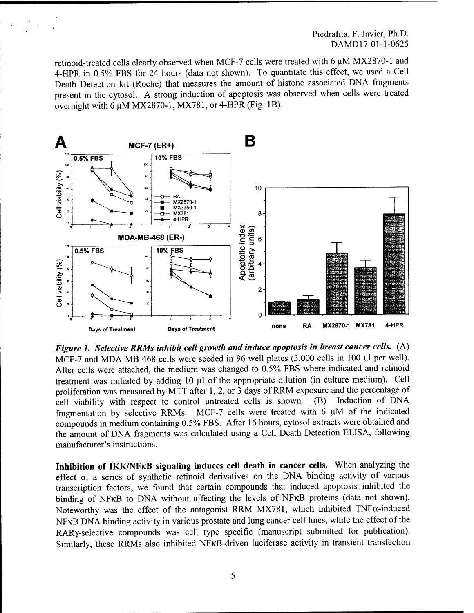Piedrafita, F. Javier, Ph.D. DAMD17-01-1-0625

retinoid-treated cells clearly observed when MCF-7 cells were treated with 6 uM MX2870-1 and 4-HPR in 0.5% FBS for 24 hours (data not shown). To quantitate this effect, we used a Cell Death Detection kit (Roche) that measures the amount of histone associated DNA fragments present in the cytosol. A strong induction of apoptosis was observed when cells were treated overnight with 6  $\mu$ M MX2870-1, MX781, or 4-HPR (Fig. 1B).



*Figure 1. Selective RRMs inhibit cell growth and induce apoptosis in breast cancer cells.* (A) MCF-7 and MDA-MB-468 cells were seeded in 96 well plates (3,000 cells in 100 ul per well). After cells were attached, the medium was changed to 0.5% FBS where indicated and retinoid treatment was initiated by adding 10  $\mu$ l of the appropriate dilution (in culture medium). Cell proliferation was measured by MTT after 1, 2, or 3 days of RRM exposure and the percentage of cell viability with respect to control untreated cells is shown. (B) Induction of DNA fragmentation by selective RRMs. MCF-7 cells were treated with  $6 \mu M$  of the indicated compounds in medium containing 0.5% FBS. After 16 hours, cytosol extracts were obtained and the amount of DNA fragments was calculated using a Cell Death Detection ELISA, following manufacturer's instructions.

**Inhibition of IKK/NFKB signaling induces cell death in cancer cells.** When analyzing the effect of a series of synthetic retinoid derivatives on the DNA binding activity of various transcription factors, we found that certain compounds that induced apoptosis inhibited the binding of NFKB to DNA without affecting the levels of NFKB proteins (data not shown). Noteworthy was the effect of the antagonist RRM MX781, which inhibited  $TNF\alpha$ -induced NFKB DNA binding activity in various prostate and lung cancer cell lines, while the effect of the RARy-selective compounds was cell type specific (manuscript submitted for publication). Similarly, these RRMs also inhibited NFKB-driven luciferase activity in transient transfection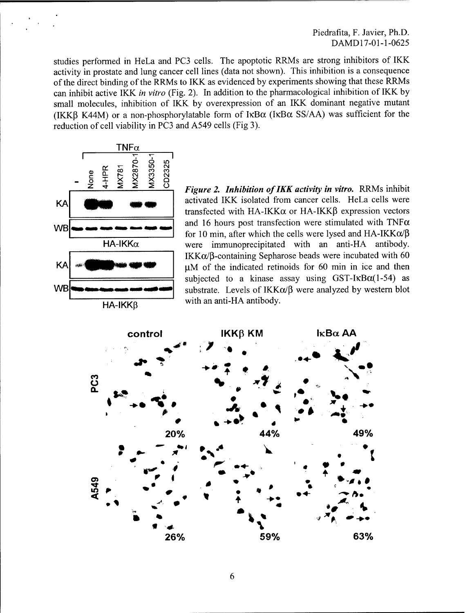Piedrafita, F. Javier, Ph.D. DAMD17-01-1-0625

studies performed in HeLa and PC3 cells. The apoptotic RRMs are strong inhibitors of IKK activity in prostate and lung cancer cell lines (data not shown). This inhibition is a consequence of the direct binding of the RRMs to IKK as evidenced by experiments showing that these RRMs can inhibit active IKK *in vitro* (Fig. 2). In addition to the pharmacological inhibition of IKK by small molecules, inhibition of IKK by overexpression of an IKK dominant negative mutant (IKKß K44M) or a non-phosphorylatable form of  $I\kappa B\alpha$  (I $\kappa B\alpha$  SS/AA) was sufficient for the reduction of cell viability in PC3 and A549 cells (Fig 3).



*Figure 2. Inhibition ofIKK activity in vitro.* RRMs inhibit activated IKK isolated from cancer cells. HeLa cells were transfected with HA-IKK $\alpha$  or HA-IKK $\beta$  expression vectors and 16 hours post transfection were stimulated with TNF $\alpha$ for 10 min, after which the cells were lysed and  $HA-IKK\alpha/\beta$ were immunoprecipitated with an anti-HA antibody.  $IKK\alpha/B$ -containing Sepharose beads were incubated with 60  $\mu$ M of the indicated retinoids for 60 min in ice and then subjected to a kinase assay using GST-IKB $\alpha$ (1-54) as substrate. Levels of  $IKK\alpha/\beta$  were analyzed by western blot with an anti-HA antibody.

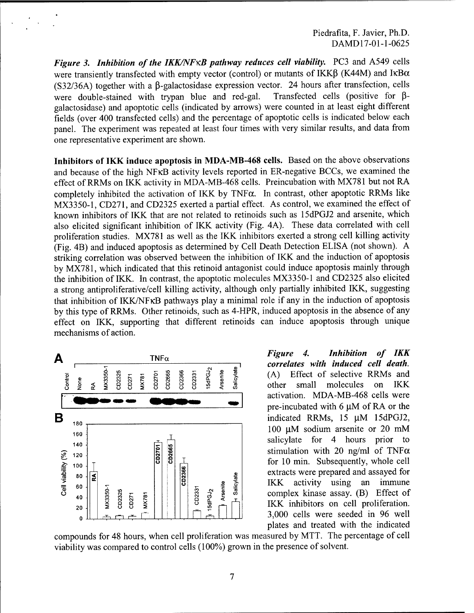*Figure* 3. *Inhibition of the IKK/NFKB pathway reduces cell viability.* PC3 and A549 cells were transiently transfected with empty vector (control) or mutants of IKK $\beta$  (K44M) and IKB $\alpha$ (S32/36A) together with a  $\beta$ -galactosidase expression vector. 24 hours after transfection, cells were double-stained with trypan blue and red-gal. Transfected cells (positive for ßgalactosidase) and apoptotic cells (indicated by arrows) were counted in at least eight different fields (over 400 transfected cells) and the percentage of apoptotic cells is indicated below each panel. The experiment was repeated at least four times with very similar results, and data from one representative experiment are shown.

**Inhibitors of IKK induce apoptosis in MDA-MB-468 cells.** Based on the above observations and because of the high NFKB activity levels reported in ER-negative BCCs, we examined the effect of RRMs on IKK activity in MDA-MB-468 cells. Preincubation with MX781 but not RA completely inhibited the activation of IKK by TNF $\alpha$ . In contrast, other apoptotic RRMs like MX3350-1, CD271, and CD2325 exerted a partial effect. As control, we examined the effect of known inhibitors of IKK that are not related to retinoids such as 15dPGJ2 and arsenite, which also elicited significant inhibition of IKK activity (Fig. 4A). These data correlated with cell proliferation studies. MX781 as well as the IKK inhibitors exerted a strong cell killing activity (Fig. 4B) and induced apoptosis as determined by Cell Death Detection ELISA (not shown). A striking correlation was observed between the inhibition of IKK and the induction of apoptosis by MX781, which indicated that this retinoid antagonist could induce apoptosis mainly through the inhibition of IKK. In contrast, the apoptotic molecules MX3350-1 and CD2325 also elicited a strong antiproliferative/cell killing activity, although only partially inhibited IKK, suggesting that inhibition of IKK/NFKB pathways play a minimal role if any in the induction of apoptosis by this type of RRMs. Other retinoids, such as 4-HPR, induced apoptosis in the absence of any effect on IKK, supporting that different retinoids can induce apoptosis through unique mechanisms of action.



*Figure 4. Inhibition of IKK correlates with induced cell death.* (A) Effect of selective RRMs and other small molecules on IKK activation. MDA-MB-468 cells were pre-incubated with  $6 \mu M$  of RA or the indicated RRMs, 15  $\mu$ M 15dPGJ2, 100  $\mu$ M sodium arsenite or 20 mM salicylate for 4 hours prior to stimulation with 20 ng/ml of TNF $\alpha$ for 10 min. Subsequently, whole cell extracts were prepared and assayed for IKK activity using an immune complex kinase assay. (B) Effect of IKK inhibitors on cell proliferation. 3,000 cells were seeded in 96 well plates and treated with the indicated

compounds for 48 hours, when cell proliferation was measured by MTT. The percentage of cell viability was compared to control cells (100%) grown in the presence of solvent.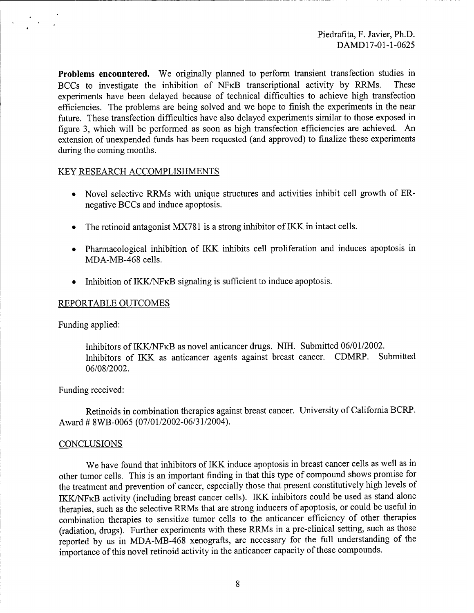**Problems encountered.** We originally planned to perform transient transfection studies in BCCs to investigate the inhibition of NFKB transcriptional activity by RRMs. These experiments have been delayed because of technical difficulties to achieve high transfection efficiencies. The problems are being solved and we hope to finish the experiments in the near future. These transfection difficulties have also delayed experiments similar to those exposed in figure 3, which will be performed as soon as high transfection efficiencies are achieved. An extension of unexpended funds has been requested (and approved) to finalize these experiments during the coming months.

## KEY RESEARCH ACCOMPLISHMENTS

- Novel selective RRMs with unique structures and activities inhibit cell growth of ERnegative BCCs and induce apoptosis.
- The retinoid antagonist MX781 is a strong inhibitor of IKK in intact cells.
- Pharmacological inhibition of IKK inhibits cell proliferation and induces apoptosis in MDA-MB-468 cells.
- Inhibition of  $IKK/NF\kappa B$  signaling is sufficient to induce apoptosis.

## REPORTABLE OUTCOMES

Funding applied:

 $\mathcal{L}^{\text{max}}(\mathcal{L}^{\text{max}})$ 

Inhibitors of IKK/NFKB as novel anticancer drugs. NIH. Submitted 06/01/2002. Inhibitors of IKK as anticancer agents against breast cancer. CDMRP. Submitted 06/08/2002.

### Funding received:

Retinoids in combination therapies against breast cancer. University of California BCRP. Award # 8WB-0065 (07/01/2002-06/31/2004).

#### **CONCLUSIONS**

We have found that inhibitors of IKK induce apoptosis in breast cancer cells as well as in other tumor cells. This is an important finding in that this type of compound shows promise for the treatment and prevention of cancer, especially those that present constitutively high levels of IKK/NFKB activity (including breast cancer cells). IKK inhibitors could be used as stand alone therapies, such as the selective RRMs that are strong inducers of apoptosis, or could be useful in combination therapies to sensitize tumor cells to the anticancer efficiency of other therapies (radiation, drugs). Further experiments with these RRMs in a pre-clinical setting, such as those reported by us in MDA-MB-468 xenografts, are necessary for the full understanding of the importance of this novel retinoid activity in the anticancer capacity of these compounds.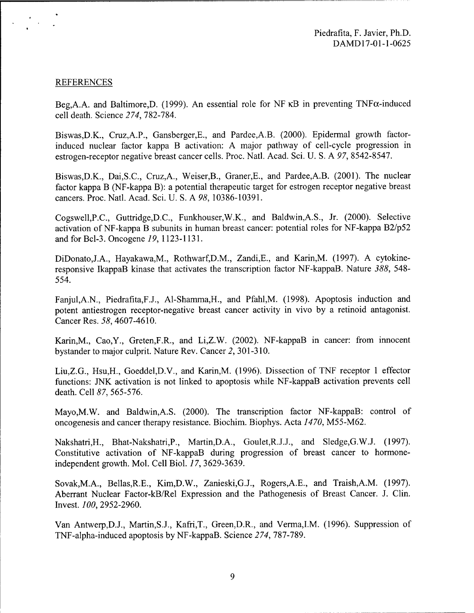# REFERENCES

 $\mathcal{F}_{\text{max}}$ 

Beg, A.A. and Baltimore, D. (1999). An essential role for NF KB in preventing TNF $\alpha$ -induced cell death. Science *274,* 782-784.

Biswas,D.K., Cruz,A.P., Gansberger,E., and Pardee,A.B. (2000). Epidermal growth factorinduced nuclear factor kappa B activation: A major pathway of cell-cycle progression in estrogen-receptor negative breast cancer cells. Proc. Natl. Acad. Sei. U. S. A *97,* 8542-8547.

Biswas,D.K., Dai,S.C, Cruz,A., Weiser,B., Graner,E., and Pardee,A.B. (2001). The nuclear factor kappa B (NF-kappa B): a potential therapeutic target for estrogen receptor negative breast cancers. Proc. Natl. Acad. Sei. U. S. A *98,* 10386-10391.

Cogswell,P.C, Guttridge,D.C, Funkhouser,W.K., and Baldwin,A.S., Jr. (2000). Selective activation of NF-kappa B subunits in human breast cancer: potential roles for NF-kappa B2/p52 and for Bcl-3. Oncogene *19,* 1123-1131.

DiDonato,J.A., Hayakawa,M., Rothwarf,D.M., Zandi,E., and Karin,M. (1997). A cytokineresponsive IkappaB kinase that activates the transcription factor NF-kappaB. Nature *388,* 548- 554.

Fanjul,A.N., Piedrafita,F.J., Al-Shamma,H., and Pfahl,M. (1998). Apoptosis induction and potent antiestrogen receptor-negative breast cancer activity in vivo by a retinoid antagonist. Cancer Res. 58, 4607-4610.

Karin,M., Cao,Y., Greten,F.R., and Li,Z.W. (2002). NF-kappaB in cancer: from innocent bystander to major culprit. Nature Rev. Cancer *2,* 301-310.

Liu,Z.G., Hsu,H., Goeddel,D.V., and Karin,M. (1996). Dissection of TNF receptor <sup>1</sup> effector functions: JNK activation is not linked to apoptosis while NF-kappaB activation prevents cell death. Cell *87,* 565-576.

Mayo,M.W. and Baldwin,A.S. (2000). The transcription factor NF-kappaB: control of oncogenesis and cancer therapy resistance. Biochim. Biophys. Acta *1470,* M55-M62.

Nakshatri,H., Bhat-Nakshatri,P., Martin,D.A., Goulet,R.J.J., and Sledge,G.W.J. (1997). Constitutive activation of NF-kappaB during progression of breast cancer to hormoneindependent growth. Mol. Cell Biol. *17,* 3629-3639.

Sovak,M.A., Bellas,R.E., Kim,D.W., Zanieski,G.J., Rogers,A.E., and Traish,A.M. (1997). Aberrant Nuclear Factor-kB/Rel Expression and the Pathogenesis of Breast Cancer. J. Clin. Invest. *100,* 2952-2960.

Van Antwerp, D.J., Martin, S.J., Kafri, T., Green, D.R., and Verma, I.M. (1996). Suppression of TNF-alpha-induced apoptosis by NF-kappaB. Science *274,* 787-789.